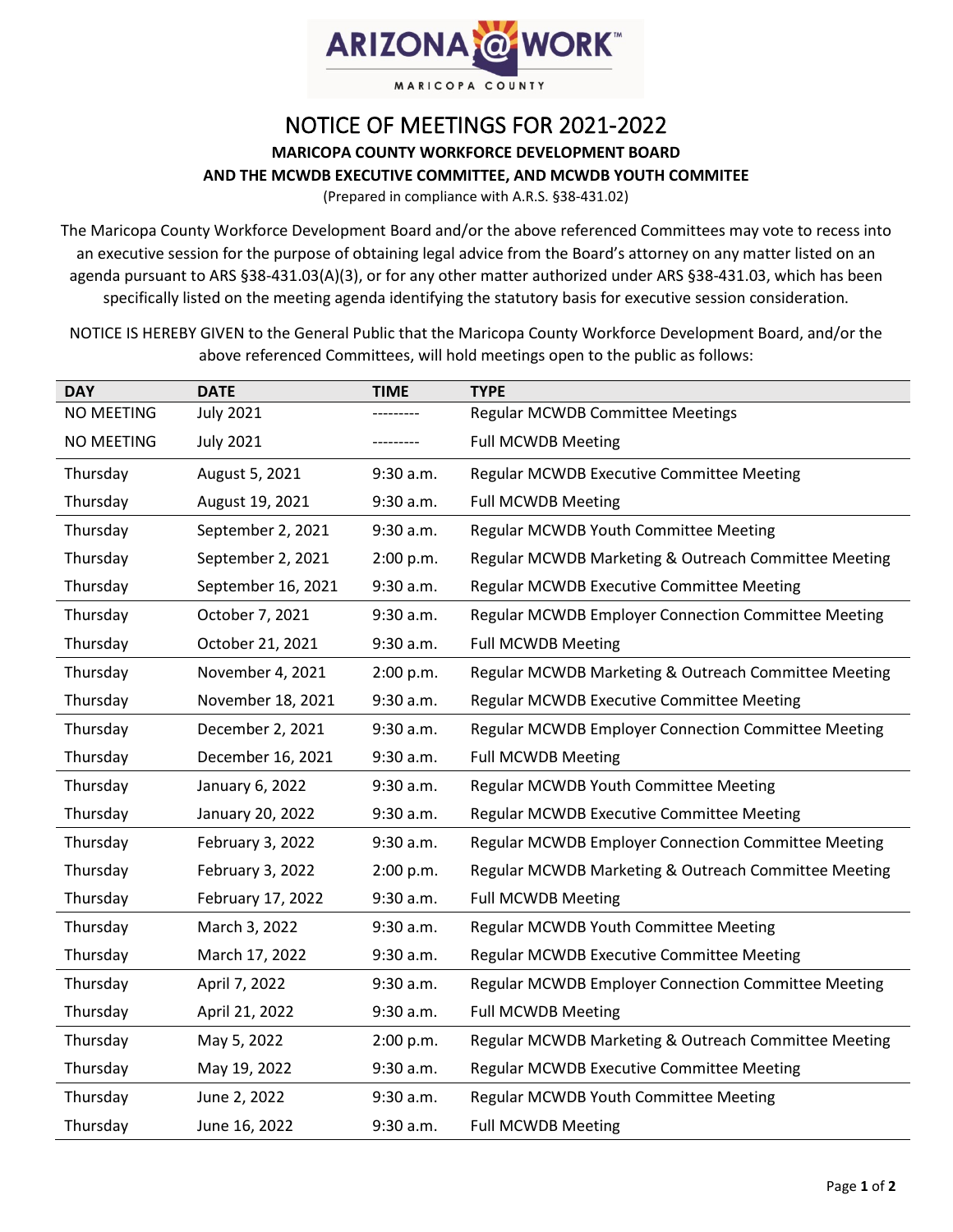

## NOTICE OF MEETINGS FOR 2021-2022 **MARICOPA COUNTY WORKFORCE DEVELOPMENT BOARD AND THE MCWDB EXECUTIVE COMMITTEE, AND MCWDB YOUTH COMMITEE**

(Prepared in compliance with A.R.S. §38-431.02)

The Maricopa County Workforce Development Board and/or the above referenced Committees may vote to recess into an executive session for the purpose of obtaining legal advice from the Board's attorney on any matter listed on an agenda pursuant to ARS §38-431.03(A)(3), or for any other matter authorized under ARS §38-431.03, which has been specifically listed on the meeting agenda identifying the statutory basis for executive session consideration.

NOTICE IS HEREBY GIVEN to the General Public that the Maricopa County Workforce Development Board, and/or the above referenced Committees, will hold meetings open to the public as follows:

| <b>DAY</b> | <b>DATE</b>        | <b>TIME</b> | <b>TYPE</b>                                                |
|------------|--------------------|-------------|------------------------------------------------------------|
| NO MEETING | <b>July 2021</b>   |             | <b>Regular MCWDB Committee Meetings</b>                    |
| NO MEETING | <b>July 2021</b>   |             | <b>Full MCWDB Meeting</b>                                  |
| Thursday   | August 5, 2021     | 9:30 a.m.   | Regular MCWDB Executive Committee Meeting                  |
| Thursday   | August 19, 2021    | 9:30 a.m.   | <b>Full MCWDB Meeting</b>                                  |
| Thursday   | September 2, 2021  | 9:30 a.m.   | Regular MCWDB Youth Committee Meeting                      |
| Thursday   | September 2, 2021  | 2:00 p.m.   | Regular MCWDB Marketing & Outreach Committee Meeting       |
| Thursday   | September 16, 2021 | 9:30 a.m.   | Regular MCWDB Executive Committee Meeting                  |
| Thursday   | October 7, 2021    | 9:30 a.m.   | Regular MCWDB Employer Connection Committee Meeting        |
| Thursday   | October 21, 2021   | 9:30 a.m.   | <b>Full MCWDB Meeting</b>                                  |
| Thursday   | November 4, 2021   | 2:00 p.m.   | Regular MCWDB Marketing & Outreach Committee Meeting       |
| Thursday   | November 18, 2021  | 9:30 a.m.   | Regular MCWDB Executive Committee Meeting                  |
| Thursday   | December 2, 2021   | 9:30 a.m.   | Regular MCWDB Employer Connection Committee Meeting        |
| Thursday   | December 16, 2021  | 9:30 a.m.   | <b>Full MCWDB Meeting</b>                                  |
| Thursday   | January 6, 2022    | 9:30 a.m.   | Regular MCWDB Youth Committee Meeting                      |
| Thursday   | January 20, 2022   | 9:30 a.m.   | Regular MCWDB Executive Committee Meeting                  |
| Thursday   | February 3, 2022   | 9:30 a.m.   | Regular MCWDB Employer Connection Committee Meeting        |
| Thursday   | February 3, 2022   | 2:00 p.m.   | Regular MCWDB Marketing & Outreach Committee Meeting       |
| Thursday   | February 17, 2022  | 9:30 a.m.   | <b>Full MCWDB Meeting</b>                                  |
| Thursday   | March 3, 2022      | 9:30 a.m.   | Regular MCWDB Youth Committee Meeting                      |
| Thursday   | March 17, 2022     | 9:30 a.m.   | <b>Regular MCWDB Executive Committee Meeting</b>           |
| Thursday   | April 7, 2022      | 9:30 a.m.   | <b>Regular MCWDB Employer Connection Committee Meeting</b> |
| Thursday   | April 21, 2022     | 9:30 a.m.   | <b>Full MCWDB Meeting</b>                                  |
| Thursday   | May 5, 2022        | 2:00 p.m.   | Regular MCWDB Marketing & Outreach Committee Meeting       |
| Thursday   | May 19, 2022       | 9:30 a.m.   | Regular MCWDB Executive Committee Meeting                  |
| Thursday   | June 2, 2022       | 9:30 a.m.   | Regular MCWDB Youth Committee Meeting                      |
| Thursday   | June 16, 2022      | 9:30 a.m.   | <b>Full MCWDB Meeting</b>                                  |
|            |                    |             |                                                            |